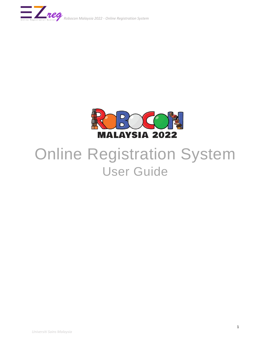



# Online Registration System User Guide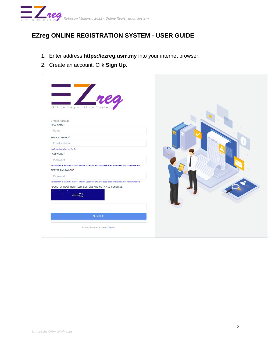

## **EZreg ONLINE REGISTRATION SYSTEM - USER GUIDE**

- 1. Enter address **https://ezreg.usm.my** into your internet browser.
- 2. Create an account. Clik **Sign Up**.



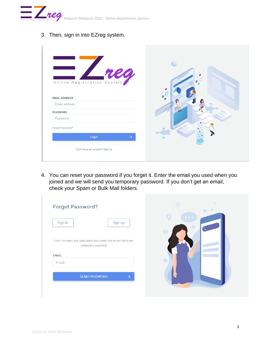

3. Then, sign in into EZreg system.

| Online Registration System<br><b>EMAIL ADDRESS</b> |  |
|----------------------------------------------------|--|
| Email address                                      |  |
| PASSWORD                                           |  |
| Password                                           |  |
| Forgot Password?                                   |  |
| Login<br>$\rightarrow$                             |  |
| Don't have an account? Sign up                     |  |

4. You can reset your password if you forget it. Enter the email you used when you joined and we will send you temporary password. If you don't get an email, check your Spam or Bulk Mail folders.

| Sign in<br>Sign up                                                                  | $\begin{array}{ccccccccccccc} \bullet & \bullet & \bullet & \bullet & \bullet \end{array}$ |
|-------------------------------------------------------------------------------------|--------------------------------------------------------------------------------------------|
|                                                                                     | 0                                                                                          |
| Enter the email you used when you joined and we will send you<br>temporary password |                                                                                            |
| <b>EMAIL</b><br>Email                                                               | 45                                                                                         |
| <b>SEND PASSWORD</b><br>$\rightarrow$                                               |                                                                                            |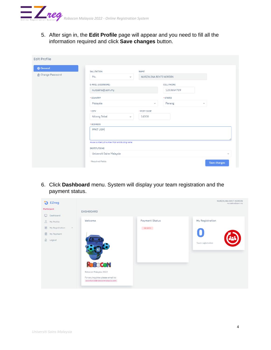

5. After sign in, the **Edit Profile** page will appear and you need to fill all the information required and click **Save changes** button.

| <b>@ General</b>         | SALUTATION                                      | NAME         |                        |              |  |  |  |
|--------------------------|-------------------------------------------------|--------------|------------------------|--------------|--|--|--|
| <b>A</b> Change Password | Ms.<br>$\checkmark$                             |              | NURZALINA BINTI NORDIN |              |  |  |  |
|                          | E-MAIL (USERNAME)                               |              |                        |              |  |  |  |
|                          | nurzalina@usm.my                                |              |                        |              |  |  |  |
|                          | *COUNTRY                                        |              |                        |              |  |  |  |
|                          | Malaysia                                        | $\checkmark$ |                        | $\lor$       |  |  |  |
|                          | * CITY                                          | *POST CODE   |                        |              |  |  |  |
|                          | Nibong Tebal<br>$\vee$                          | 14300        |                        |              |  |  |  |
|                          | *ADDRESS                                        |              |                        |              |  |  |  |
|                          | PPKT USM                                        |              |                        |              |  |  |  |
|                          | House Number/Lot Number/Floor and Building Name |              |                        |              |  |  |  |
|                          | <b>INSTITUTIONS</b>                             |              |                        |              |  |  |  |
|                          | Universiti Sains Malaysia                       |              |                        | $\checkmark$ |  |  |  |
|                          | *Required Fields                                |              |                        | Save changes |  |  |  |

6. Click **Dashboard** menu. System will display your team registration and the payment status.

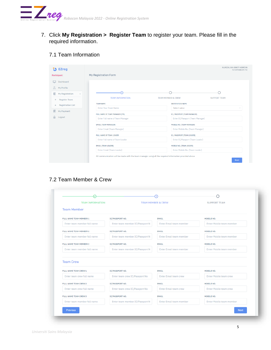

7. Click **My Registration > Register Team** to register your team. Please fill in the required information.

#### 7.1 Team Information

|               | <b>EZreg</b>                    |                                 |                                  | NURZALINA BINTI NORDIN<br>nurzalina@usm.my |
|---------------|---------------------------------|---------------------------------|----------------------------------|--------------------------------------------|
| Participant   |                                 | My Registration Form            |                                  |                                            |
|               | Dashboard                       |                                 |                                  |                                            |
|               | My Profile                      |                                 |                                  |                                            |
|               | My Registration<br>$\checkmark$ | 'O                              |                                  |                                            |
| →             | Register Team                   | <b>TEAM INFORMATION</b>         | <b>TEAM MEMBER &amp; CREW</b>    | <b>SUPPORT TEAM</b>                        |
| $\rightarrow$ | <b>Registration List</b>        | <b>TEAM NAME</b>                | <b>INSTITUTION NAME</b>          |                                            |
|               | My Payment                      | Enter Your Team Name            | Select value                     |                                            |
|               |                                 | FULL NAME OF TEAM MANAGER (TM)  | IC / PASSPORT (TEAM MANAGER)     |                                            |
| ति            | Logout                          | Enter Full name of Team Manager | Enter IC/Passport (Team Manager) |                                            |
|               |                                 | <b>EMAIL (TEAM MANAGER)</b>     | MOBILE NO. (TEAM MANAGER)        |                                            |
|               |                                 | Enter Email (Team Manager)      | Enter Mobile No. (Team Manager)  |                                            |
|               |                                 | FULL NAME OF TEAM LEADER        | IC / PASSPORT (TEAM LEADER)      |                                            |
|               |                                 | Enter Full name of Team Leader  | Enter IC/Passport (Team Leader)  |                                            |
|               |                                 | <b>EMAIL (TEAM LEADER)</b>      | MOBILE NO. (TEAM LEADER)         |                                            |
|               |                                 | Enter Email (Team Leader)       | Enter Mobile No. (Team Leader)   |                                            |

### 7.2 Team Member & Crew

|                             |                                 | <b>TEAM MEMBER &amp; CREW</b>  | <b>SUPPORT TEAM</b>      |
|-----------------------------|---------------------------------|--------------------------------|--------------------------|
| <b>Team Member</b>          |                                 |                                |                          |
| FULL NAME TEAM MEMBER 1     | <b>IC/PASSPORT NO.</b>          | <b>EMAIL</b>                   | MOBILE NO.               |
| Enter team member full name | Enter team member IC/Passport N | <b>Enter Email team member</b> | Enter Mobile team member |
| FULL NAME TEAM MEMBER 2     | <b>IC/PASSPORT NO.</b>          | <b>EMAIL</b>                   | MOBILE NO.               |
| Enter team member full name | Enter team member IC/Passport N | <b>Enter Email team member</b> | Enter Mobile team member |
| FULL NAME TEAM MEMBER 3     | <b>IC/PASSPORT NO.</b>          | <b>EMAIL</b>                   | MOBILE NO.               |
| Enter team member full name | Enter team member IC/Passport N | <b>Enter Email team member</b> | Enter Mobile team member |
| <b>Team Crew</b>            |                                 |                                |                          |
| FULL NAME TEAM CREW 1       | <b>IC/PASSPORT NO.</b>          | <b>EMAIL</b>                   | MOBILE NO.               |
| Enter team crew full name   | Enter team crew IC/Passport No  | <b>Enter Email team crew</b>   | Enter Mobile team crew   |
| FULL NAME TEAM CREW 2       | <b>IC/PASSPORT NO.</b>          | <b>EMAIL</b>                   | MOBILE NO.               |
| Enter team crew full name   | Enter team crew IC/Passport No  | <b>Enter Email team crew</b>   | Enter Mobile team crew   |
| FULL NAME TEAM CREW 3       | <b>IC/PASSPORT NO.</b>          | <b>EMAIL</b>                   | MOBILE NO.               |
| Enter team member full name | Enter team member IC/Passport N | Enter Email team member        | Enter Mobile team member |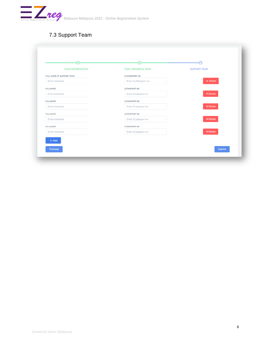

## 7.3 Support Team

| <b>TEAM INFORMATION</b>   | <b>TEAM MEMBER &amp; CREW</b> | <b>SUPPORT TEAM</b> |
|---------------------------|-------------------------------|---------------------|
|                           |                               |                     |
| FULL NAME OF SUPPORT TEAM | <b>IC/PASSPORT NO</b>         |                     |
| <b>Enter fullname</b>     | Enter IC/Passport no          | x Delete            |
| <b>FULLNAME</b>           | <b>IC/PASPORT NO</b>          |                     |
| <b>Enter fullname</b>     | Enter IC/pasport no           | <b>×</b> Delete     |
| <b>FULLNAME</b>           | <b>IC/PASPORT NO</b>          |                     |
| <b>Enter fullname</b>     | Enter IC/pasport no           | $\times$ Delete     |
| <b>FULLNAME</b>           | <b>IC/PASPORT NO</b>          |                     |
| Enter fullname            | Enter IC/pasport no           | <b>× Delete</b>     |
| <b>FULLNAME</b>           | <b>IC/PASPORT NO</b>          |                     |
| Enter fullname            | Enter IC/pasport no           | <b>×</b> Delete     |
| $+$ Add                   |                               |                     |
|                           |                               |                     |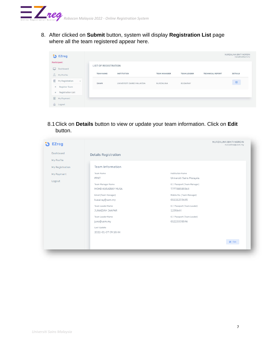

8. After clicked on **Submit** button, system will display **Registration List** page where all the team registered appear here.

| <b>D</b> EZreg                                                       |                             |                           |                     |                    |                         | NURZALINA BINTI NORDIN<br>nurzalina@usm.my |
|----------------------------------------------------------------------|-----------------------------|---------------------------|---------------------|--------------------|-------------------------|--------------------------------------------|
| Participant<br>Dashboard<br>ليبا                                     | <b>LIST OF REGISTRATION</b> |                           |                     |                    |                         |                                            |
| $\mathcal{R}$<br>My Profile                                          | <b>TEAM NAME</b>            | INSTITUTION               | <b>TEAM MANAGER</b> | <b>TEAM LEADER</b> | <b>TECHNICAL REPORT</b> | <b>DETAILS</b>                             |
| €<br>My Registration<br>$\checkmark$                                 | SAWM                        | UNIVERSITI SAINS MALAYSIA | NURZALINA           | KUSAIRAY           |                         | 国                                          |
| Register Team<br>$\rightarrow$<br>Registration List<br>$\rightarrow$ |                             |                           |                     |                    |                         |                                            |
| 目<br>My Payment                                                      |                             |                           |                     |                    |                         |                                            |
| $\hat{\mathbf{e}}$<br>Logout                                         |                             |                           |                     |                    |                         |                                            |

8.1Click on **Details** button to view or update your team information. Click on **Edit** button.

| Ð<br><b>EZreg</b>       |                                         |                                               | NURZALINA BINTI NORDIN<br>nurzalina@usm.my |
|-------------------------|-----------------------------------------|-----------------------------------------------|--------------------------------------------|
| Dashboard<br>My Profile | <b>Details Registration</b>             |                                               |                                            |
| My Registration         | Team Information                        |                                               |                                            |
| My Payment              | Team Name<br>PPKT                       | Institution Name<br>Universiti Sains Malaysia |                                            |
| Logout                  | Team Manager Name<br>MOHD KUSAIRAY MUSA | IC / Passport (Team Manager)<br>777788585564  |                                            |
|                         | Email (Team Manager)<br>kusairay@usm.my | Mobile No. (Team Manager)<br>01111233645      |                                            |
|                         | Team Leader Name<br>JUNAIDAH JAAPAR     | IC / Passport (Team Leader)<br>1235644        |                                            |
|                         | Team Leader Name<br>june@usm.my         | IC / Passport (Team Leader)<br>01223335546    |                                            |
|                         | Last Update<br>2022-01-07 09:10:44      |                                               |                                            |
|                         |                                         |                                               | <b>図</b> Edit                              |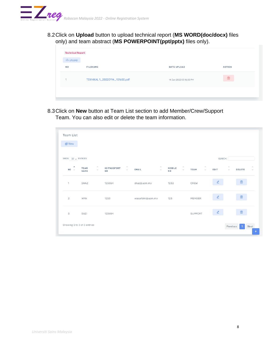

8.2Click on **Upload** button to upload technical report (**MS WORD(doc/docx)** files only) and team abstract (**MS POWERPOINT(ppt/pptx)** files only).

| 山 UPLOAD       |                                |                         |               |
|----------------|--------------------------------|-------------------------|---------------|
| <b>NO</b>      | <b>FILENAME</b>                | <b>DATE UPLOAD</b>      | <b>ACTION</b> |
| $\overline{A}$ | TEKNIKAL 1_20220114_151650.pdf | 14 Jan 2022 03:16:50 PM | 囻             |
|                |                                |                         |               |

8.3Click on **New** button at Team List section to add Member/Crew/Support Team. You can also edit or delete the team information.

| Team List<br><b>可</b> New        |                                                           |                                                             |                                                 |                          |                                 |                                                      |               |                                              |                                      |
|----------------------------------|-----------------------------------------------------------|-------------------------------------------------------------|-------------------------------------------------|--------------------------|---------------------------------|------------------------------------------------------|---------------|----------------------------------------------|--------------------------------------|
| SHOW $10 \sqrt{2}$ ENTRIES       |                                                           |                                                             |                                                 |                          |                                 |                                                      | SEARCH:       |                                              |                                      |
| $\hat{\phantom{a}}$<br>$NO \sim$ | $\mathcal{N}_\mathrm{b}$<br><b>TEAM</b><br>$\sim$<br>NAME | $\mathcal{O}_\lambda$<br>IC/PASSPORT<br>$\sim$<br><b>NO</b> | $\mathcal{N}_\lambda$<br><b>EMAIL</b><br>$\sim$ | MOBILE<br>N <sub>O</sub> | $\mathcal{O}_\lambda$<br>$\sim$ | $\mathcal{L}_{\mathcal{N}}$<br><b>TEAM</b><br>$\sim$ | EDIT          | $\mathcal{N}_\mathrm{b}$<br>DELETE<br>$\sim$ | $\mathcal{L}_{\mathbf{t}}$<br>$\sim$ |
| 1                                | SHAZ                                                      | 123654                                                      | shaz@usm.my                                     | 1233                     |                                 | CREW                                                 |               | $\boxed{\mathbf{x}}$                         |                                      |
| $\mathbf{2}$                     | WAN                                                       | 1233                                                        | wasarbini@usm.my                                | 123                      |                                 | MEMBER                                               | ₫             | $\boxed{\mathbf{x}}$                         |                                      |
| 3                                | SUZI                                                      | 123654                                                      |                                                 |                          |                                 | SUPPORT                                              | $\mathscr{Q}$ | $\mathbf{z}$                                 |                                      |
|                                  | Showing 1 to 3 of 3 entries                               |                                                             |                                                 |                          |                                 |                                                      |               | Previous<br>$\mathbf{1}$                     | <b>Next</b>                          |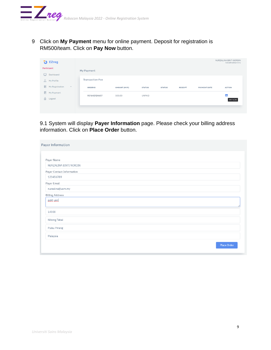

9 Click on **My Payment** menu for online payment. Deposit for registration is RM500/team. Click on **Pay Now** button.

| <b>U</b> EZreg                                                                                       |                        |              |               |               |                |                     | NURZALINA BINTI NORDIN<br>nurzalina@usm.my |
|------------------------------------------------------------------------------------------------------|------------------------|--------------|---------------|---------------|----------------|---------------------|--------------------------------------------|
| Participant                                                                                          | My Payment             |              |               |               |                |                     |                                            |
| Dashboard<br>ᆸ<br>$\mathcal{L}$<br>My Profile                                                        | <b>Transaction Fee</b> |              |               |               |                |                     |                                            |
|                                                                                                      |                        |              |               |               |                |                     |                                            |
| $\qquad \qquad \qquad \qquad \qquad \qquad \qquad \qquad \qquad$<br>My Registration<br>$\mathcal{A}$ | ORDERID                | AMOUNT (MYR) | <b>STATUS</b> | <b>STATUS</b> | <b>RECEIPT</b> | <b>PAYMENT DATE</b> | <b>ACTION</b>                              |
| 目<br>My Payment<br>$\frac{1}{\sqrt{2}}$<br>Logout                                                    | RS1642124607           | 500.00       | <b>UNPAID</b> |               |                |                     | 目<br><b>PAY NOW</b>                        |

9.1 System will display **Payer Information** page. Please check your billing address information. Click on **Place Order** button.

| Payer Information         |  |
|---------------------------|--|
| Payer Name                |  |
| NURZALINA BINTI NORDIN    |  |
| Payer Contact Information |  |
| 123456789                 |  |
| Payer Email               |  |
| nurzalina@usm.my          |  |
| <b>Billing Address</b>    |  |
| ppkt usm                  |  |
| 14300                     |  |
| Nibong Tebal              |  |
| Pulau Pinang              |  |
| Malaysia                  |  |
| Place Order               |  |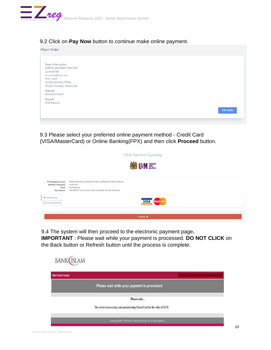

#### 9.2 Click on **Pay Now** button to continue make online payment.

| Place Order                                                                                                                                                         |                |
|---------------------------------------------------------------------------------------------------------------------------------------------------------------------|----------------|
| Payer Information<br>NURZALINA BINTI NORDIN<br>123456789<br>nurzalina@usm.my<br>PPKT USM<br>14300 NIBONG TEBAL<br>PULAU PINANG, MALAYSIA<br>OrderID<br>RS1642124607 |                |
| Deposit<br>MYR 500.00                                                                                                                                               | <b>PAY NOW</b> |

9.3 Please select your preferred online payment method - Credit Card (VISA/MasterCard) or Online Banking(FPX) and then click **Proceed** button.

|                                                      |                                                                                                                                    | <b>USM Payment Gateway</b>       |
|------------------------------------------------------|------------------------------------------------------------------------------------------------------------------------------------|----------------------------------|
|                                                      |                                                                                                                                    | <b>ASSESSION SAINS</b>           |
| Pembayaran untuk:<br>Nombor transaksi:<br>Atas Nama: | PERTANDINGAN ROBOCON 2022 PERINGKAT KEBANGSAAN<br>EP504784<br>Nilai: MYR 500.00<br>UNIVERSITI SAINS MALAYSIA (KAMPUS KEJURUTERAAN) |                                  |
| Credit Card<br>$\Box$ Online Banking                 |                                                                                                                                    | <b>VISA</b><br><b>MasterCard</b> |
|                                                      |                                                                                                                                    | Proceed $\rightarrow$            |

9.4 The system will then proceed to the electronic payment page**.** 

**IMPORTANT** : Please wait while your payment is processed. **DO NOT CLICK** on the Back button or Refresh button until the process is complete.

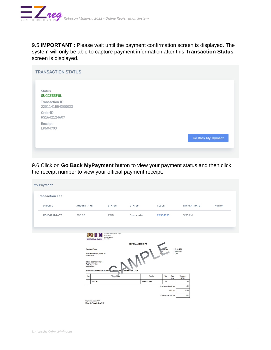

9.5 **IMPORTANT** : Please wait until the payment confirmation screen is displayed. The system will only be able to capture payment information after this **Transaction Status** screen is displayed.

| <b>TRANSACTION STATUS</b>                 |                          |
|-------------------------------------------|--------------------------|
| Status<br><b>SUCCESSFUL</b>               |                          |
| <b>Transaction ID</b><br>2201141554300033 |                          |
| OrderID<br>RS1642124607                   |                          |
| Receipt<br>EP504793                       |                          |
|                                           | <b>Go Back MyPayment</b> |

9.6 Click on **Go Back MyPayment** button to view your payment status and then click the receipt number to view your official payment receipt.

| My Payment                                                                                                                                                                                                                                                                                                                                                                        |                                                  |                    |               |                |             |                     |  |               |
|-----------------------------------------------------------------------------------------------------------------------------------------------------------------------------------------------------------------------------------------------------------------------------------------------------------------------------------------------------------------------------------|--------------------------------------------------|--------------------|---------------|----------------|-------------|---------------------|--|---------------|
| <b>Transaction Fee</b>                                                                                                                                                                                                                                                                                                                                                            |                                                  |                    |               |                |             |                     |  |               |
| ORDERID                                                                                                                                                                                                                                                                                                                                                                           | AMOUNT (MYR)                                     | <b>STATUS</b>      | <b>STATUS</b> | <b>RECEIPT</b> |             | <b>PAYMENT DATE</b> |  | <b>ACTION</b> |
| RS1642124607                                                                                                                                                                                                                                                                                                                                                                      | 500.00                                           | PAID               | Successful    | EP504793       |             | 3:55 PM             |  |               |
| UNIVERSITI SAINS MALAYSIA<br>11800 USM<br>PULAU PINANG<br>MALAYSIA<br><b>UNIVERSITI SAINS MALAYSIA</b><br><b>OFFICIAL RECEIPT</b><br>: EP504793<br><b>Received From:</b><br>: 14/01/2022<br>IPLE<br>: 1.00<br>NURZALINA BINTI NORDIN<br><b>PPKT USM</b><br>14300 GEORGETOWN<br><b>PULAU PINANG</b><br><b>MALAYSIA</b><br>ACTIVITY : PERTANDINGAN ROB COM 2000 PER GKAT KELANGSAAN |                                                  |                    |               |                |             |                     |  |               |
|                                                                                                                                                                                                                                                                                                                                                                                   | No.                                              | <b>Contract On</b> | Ref. No       | Tax            | Rate<br>(%) | Amount<br>(MYR)     |  |               |
|                                                                                                                                                                                                                                                                                                                                                                                   | $\overline{1}$<br><b>DEPOSIT</b>                 |                    | RS1642124607  | NA             | $\sim$      | 1.00<br>1.00        |  |               |
| Total amount excl. tax<br>0.00<br>Add: tax                                                                                                                                                                                                                                                                                                                                        |                                                  |                    |               |                |             |                     |  |               |
| 1.00<br>Total amount incl. tax                                                                                                                                                                                                                                                                                                                                                    |                                                  |                    |               |                |             |                     |  |               |
|                                                                                                                                                                                                                                                                                                                                                                                   | Payment Mode: FPX<br>Malaysia Rinnait : One Only |                    |               |                |             |                     |  |               |